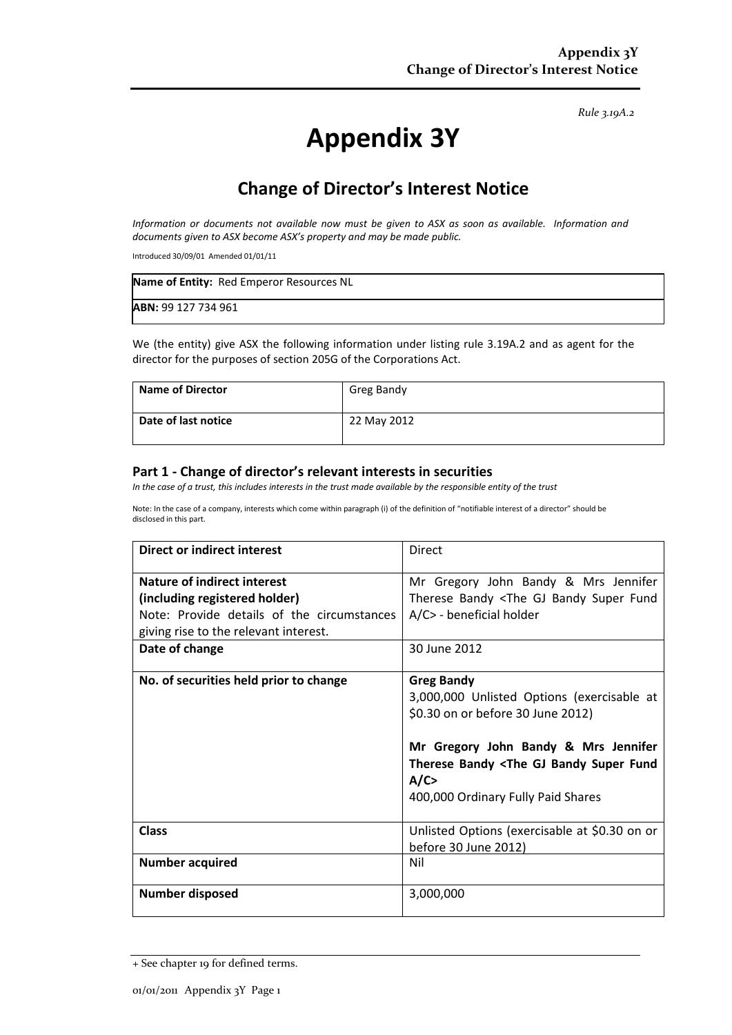*Rule 3.19A.2*

# **Appendix 3Y**

## **Change of Director's Interest Notice**

*Information or documents not available now must be given to ASX as soon as available. Information and documents given to ASX become ASX's property and may be made public.*

Introduced 30/09/01 Amended 01/01/11

| Name of Entity: Red Emperor Resources NL |  |
|------------------------------------------|--|
| <b>ABN: 99 127 734 961</b>               |  |

We (the entity) give ASX the following information under listing rule 3.19A.2 and as agent for the director for the purposes of section 205G of the Corporations Act.

| <b>Name of Director</b> | Greg Bandy  |
|-------------------------|-------------|
| Date of last notice     | 22 May 2012 |

#### **Part 1 - Change of director's relevant interests in securities**

*In the case of a trust, this includes interests in the trust made available by the responsible entity of the trust*

Note: In the case of a company, interests which come within paragraph (i) of the definition of "notifiable interest of a director" should be disclosed in this part.

| Direct or indirect interest                | Direct                                                                                                                                                                                                                                                 |
|--------------------------------------------|--------------------------------------------------------------------------------------------------------------------------------------------------------------------------------------------------------------------------------------------------------|
| Nature of indirect interest                | Mr Gregory John Bandy & Mrs Jennifer                                                                                                                                                                                                                   |
| (including registered holder)              | Therese Bandy <the bandy="" fund<="" gj="" super="" th=""></the>                                                                                                                                                                                       |
| Note: Provide details of the circumstances | A/C> - beneficial holder                                                                                                                                                                                                                               |
| giving rise to the relevant interest.      |                                                                                                                                                                                                                                                        |
| Date of change                             | 30 June 2012                                                                                                                                                                                                                                           |
| No. of securities held prior to change     | <b>Greg Bandy</b><br>3,000,000 Unlisted Options (exercisable at<br>\$0.30 on or before 30 June 2012)<br>Mr Gregory John Bandy & Mrs Jennifer<br>Therese Bandy <the bandy="" fund<br="" gj="" super="">A/C<br/>400,000 Ordinary Fully Paid Shares</the> |
| <b>Class</b>                               | Unlisted Options (exercisable at \$0.30 on or<br>before 30 June 2012)                                                                                                                                                                                  |
| <b>Number acquired</b>                     | Nil                                                                                                                                                                                                                                                    |
| Number disposed                            | 3,000,000                                                                                                                                                                                                                                              |

<sup>+</sup> See chapter 19 for defined terms.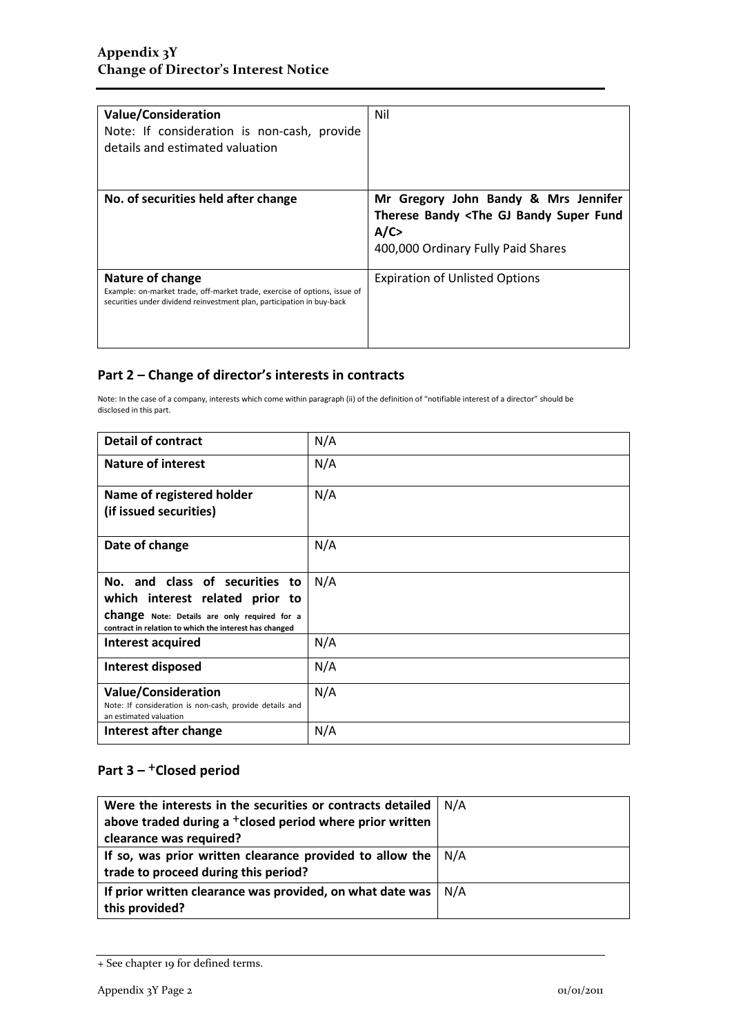| <b>Value/Consideration</b><br>Note: If consideration is non-cash, provide<br>details and estimated valuation                                                            | Nil                                                                                                                                            |
|-------------------------------------------------------------------------------------------------------------------------------------------------------------------------|------------------------------------------------------------------------------------------------------------------------------------------------|
| No. of securities held after change                                                                                                                                     | Mr Gregory John Bandy & Mrs Jennifer<br>Therese Bandy <the bandy="" fund<br="" gj="" super="">A/C<br/>400,000 Ordinary Fully Paid Shares</the> |
| Nature of change<br>Example: on-market trade, off-market trade, exercise of options, issue of<br>securities under dividend reinvestment plan, participation in buy-back | <b>Expiration of Unlisted Options</b>                                                                                                          |

### **Part 2 – Change of director's interests in contracts**

Note: In the case of a company, interests which come within paragraph (ii) of the definition of "notifiable interest of a director" should be disclosed in this part.

| <b>Detail of contract</b>                                                                                     | N/A |
|---------------------------------------------------------------------------------------------------------------|-----|
| <b>Nature of interest</b>                                                                                     | N/A |
| Name of registered holder                                                                                     | N/A |
| (if issued securities)                                                                                        |     |
| Date of change                                                                                                | N/A |
| No. and class of securities to                                                                                | N/A |
| which interest related prior to                                                                               |     |
| <b>change</b> Note: Details are only required for a<br>contract in relation to which the interest has changed |     |
| Interest acquired                                                                                             | N/A |
| Interest disposed                                                                                             | N/A |
| <b>Value/Consideration</b>                                                                                    | N/A |
| Note: If consideration is non-cash, provide details and<br>an estimated valuation                             |     |
| Interest after change                                                                                         | N/A |

### Part 3 – <sup>+</sup>Closed period

| Were the interests in the securities or contracts detailed<br>above traded during a <sup>+</sup> closed period where prior written<br>clearance was required? | N/A |
|---------------------------------------------------------------------------------------------------------------------------------------------------------------|-----|
| If so, was prior written clearance provided to allow the $  N/A$<br>trade to proceed during this period?                                                      |     |
| If prior written clearance was provided, on what date was<br>this provided?                                                                                   | N/A |

<sup>+</sup> See chapter 19 for defined terms.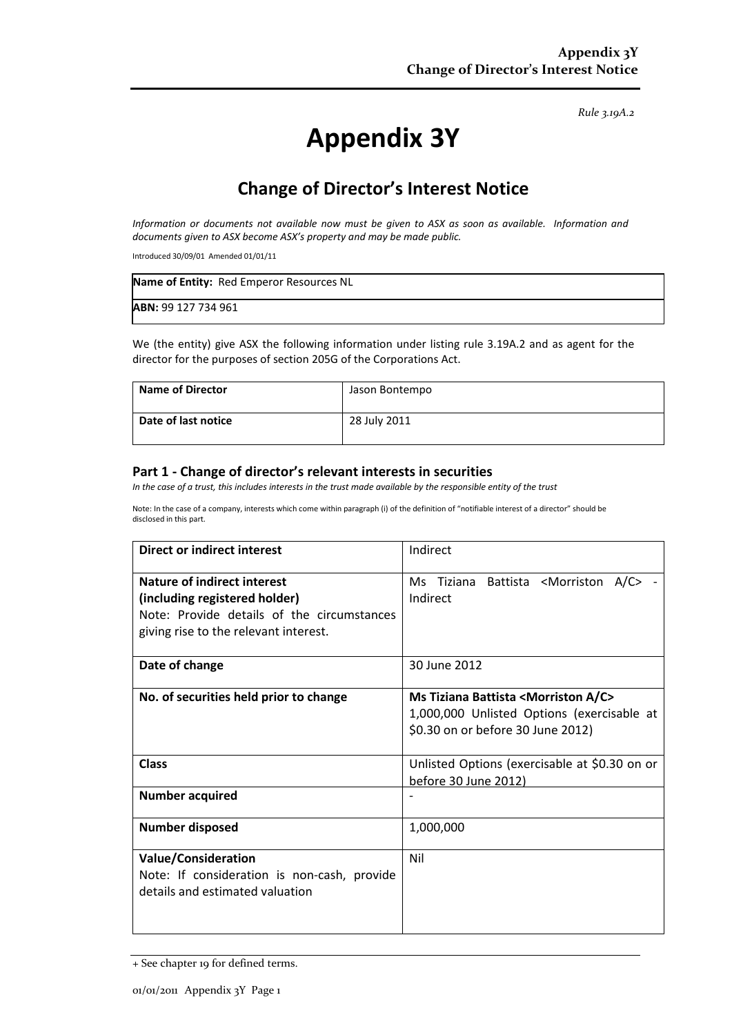*Rule 3.19A.2*

# **Appendix 3Y**

## **Change of Director's Interest Notice**

*Information or documents not available now must be given to ASX as soon as available. Information and documents given to ASX become ASX's property and may be made public.*

Introduced 30/09/01 Amended 01/01/11

| Name of Entity: Red Emperor Resources NL |  |
|------------------------------------------|--|
| <b>ABN: 99 127 734 961</b>               |  |

We (the entity) give ASX the following information under listing rule 3.19A.2 and as agent for the director for the purposes of section 205G of the Corporations Act.

| <b>Name of Director</b> | Jason Bontempo |
|-------------------------|----------------|
| Date of last notice     | 28 July 2011   |

#### **Part 1 - Change of director's relevant interests in securities**

*In the case of a trust, this includes interests in the trust made available by the responsible entity of the trust*

Note: In the case of a company, interests which come within paragraph (i) of the definition of "notifiable interest of a director" should be disclosed in this part.

| Direct or indirect interest                 | Indirect                                                                                                                                   |
|---------------------------------------------|--------------------------------------------------------------------------------------------------------------------------------------------|
| Nature of indirect interest                 | Ms Tiziana Battista <morriston a="" c=""></morriston>                                                                                      |
| (including registered holder)               | Indirect                                                                                                                                   |
| Note: Provide details of the circumstances  |                                                                                                                                            |
| giving rise to the relevant interest.       |                                                                                                                                            |
| Date of change                              | 30 June 2012                                                                                                                               |
| No. of securities held prior to change      | Ms Tiziana Battista <morriston a="" c=""><br/>1,000,000 Unlisted Options (exercisable at<br/>\$0.30 on or before 30 June 2012)</morriston> |
| <b>Class</b>                                | Unlisted Options (exercisable at \$0.30 on or<br>before 30 June 2012)                                                                      |
| <b>Number acquired</b>                      |                                                                                                                                            |
| <b>Number disposed</b>                      | 1,000,000                                                                                                                                  |
| <b>Value/Consideration</b>                  | Nil                                                                                                                                        |
| Note: If consideration is non-cash, provide |                                                                                                                                            |
| details and estimated valuation             |                                                                                                                                            |
|                                             |                                                                                                                                            |
|                                             |                                                                                                                                            |

<sup>+</sup> See chapter 19 for defined terms.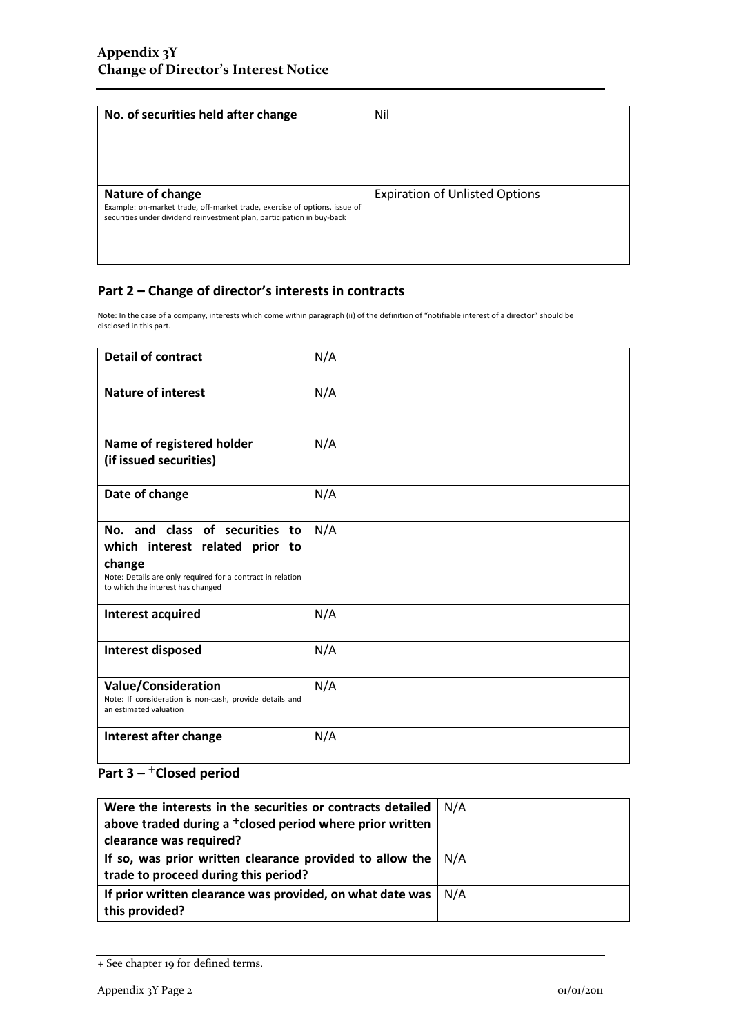| No. of securities held after change                                                                                                                                     | Nil                                   |
|-------------------------------------------------------------------------------------------------------------------------------------------------------------------------|---------------------------------------|
| Nature of change<br>Example: on-market trade, off-market trade, exercise of options, issue of<br>securities under dividend reinvestment plan, participation in buy-back | <b>Expiration of Unlisted Options</b> |

#### **Part 2 – Change of director's interests in contracts**

Note: In the case of a company, interests which come within paragraph (ii) of the definition of "notifiable interest of a director" should be disclosed in this part.

| <b>Detail of contract</b>                                                                                                                                                      | N/A |
|--------------------------------------------------------------------------------------------------------------------------------------------------------------------------------|-----|
| <b>Nature of interest</b>                                                                                                                                                      | N/A |
| Name of registered holder<br>(if issued securities)                                                                                                                            | N/A |
| Date of change                                                                                                                                                                 | N/A |
| No. and class of securities to<br>which interest related prior to<br>change<br>Note: Details are only required for a contract in relation<br>to which the interest has changed | N/A |
| Interest acquired                                                                                                                                                              | N/A |
| <b>Interest disposed</b>                                                                                                                                                       | N/A |
| <b>Value/Consideration</b><br>Note: If consideration is non-cash, provide details and<br>an estimated valuation                                                                | N/A |
| Interest after change                                                                                                                                                          | N/A |

### Part 3 – <sup>+</sup>Closed period

| Were the interests in the securities or contracts detailed           | N/A |
|----------------------------------------------------------------------|-----|
| above traded during a <sup>+</sup> closed period where prior written |     |
| clearance was required?                                              |     |
| If so, was prior written clearance provided to allow the $ N/A $     |     |
| trade to proceed during this period?                                 |     |
| If prior written clearance was provided, on what date was            | N/A |
| this provided?                                                       |     |

<sup>+</sup> See chapter 19 for defined terms.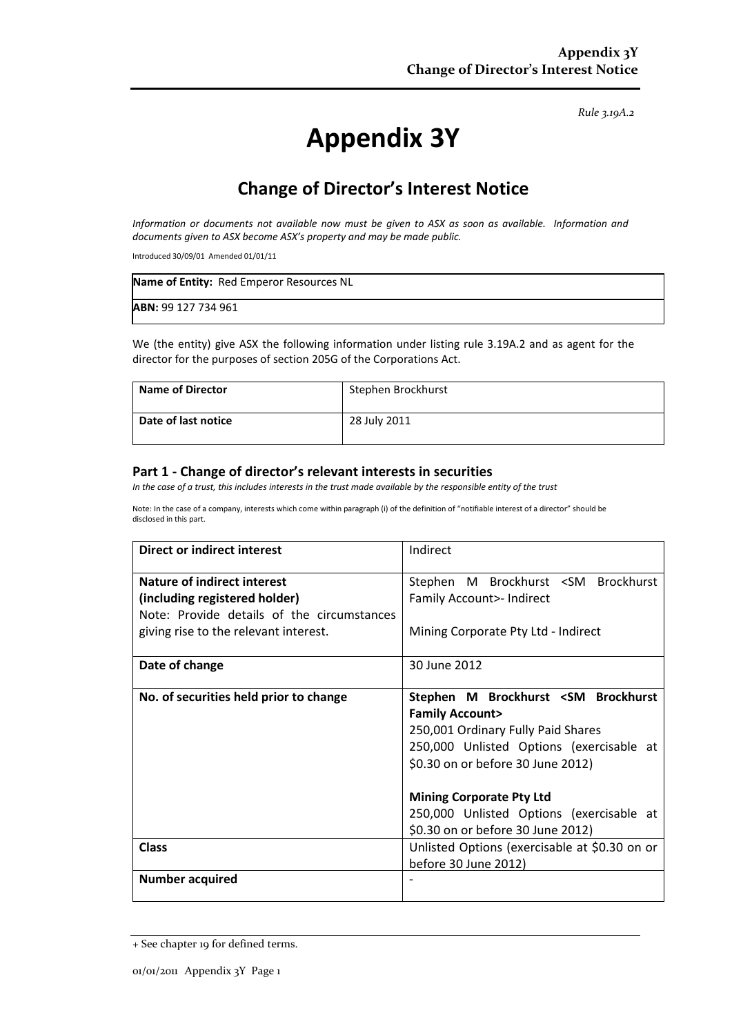*Rule 3.19A.2*

# **Appendix 3Y**

## **Change of Director's Interest Notice**

*Information or documents not available now must be given to ASX as soon as available. Information and documents given to ASX become ASX's property and may be made public.*

Introduced 30/09/01 Amended 01/01/11

| Name of Entity: Red Emperor Resources NL |  |
|------------------------------------------|--|
| <b>ABN: 99 127 734 961</b>               |  |

We (the entity) give ASX the following information under listing rule 3.19A.2 and as agent for the director for the purposes of section 205G of the Corporations Act.

| <b>Name of Director</b> | Stephen Brockhurst |
|-------------------------|--------------------|
| Date of last notice     | 28 July 2011       |

#### **Part 1 - Change of director's relevant interests in securities**

*In the case of a trust, this includes interests in the trust made available by the responsible entity of the trust*

Note: In the case of a company, interests which come within paragraph (i) of the definition of "notifiable interest of a director" should be disclosed in this part.

| <b>Direct or indirect interest</b>                                                                                                                         | Indirect                                                                                                                                                                                           |  |
|------------------------------------------------------------------------------------------------------------------------------------------------------------|----------------------------------------------------------------------------------------------------------------------------------------------------------------------------------------------------|--|
| <b>Nature of indirect interest</b><br>(including registered holder)<br>Note: Provide details of the circumstances<br>giving rise to the relevant interest. | Stephen M Brockhurst <sm brockhurst<br="">Family Account&gt;- Indirect<br/>Mining Corporate Pty Ltd - Indirect</sm>                                                                                |  |
| Date of change                                                                                                                                             | 30 June 2012                                                                                                                                                                                       |  |
| No. of securities held prior to change                                                                                                                     | Stephen M Brockhurst <sm brockhurst<br=""><b>Family Account&gt;</b><br/>250,001 Ordinary Fully Paid Shares<br/>250,000 Unlisted Options (exercisable at<br/>\$0.30 on or before 30 June 2012)</sm> |  |
|                                                                                                                                                            | <b>Mining Corporate Pty Ltd</b><br>250,000 Unlisted Options (exercisable at<br>\$0.30 on or before 30 June 2012)                                                                                   |  |
| <b>Class</b>                                                                                                                                               | Unlisted Options (exercisable at \$0.30 on or<br>before 30 June 2012)                                                                                                                              |  |
| <b>Number acquired</b>                                                                                                                                     |                                                                                                                                                                                                    |  |

<sup>+</sup> See chapter 19 for defined terms.